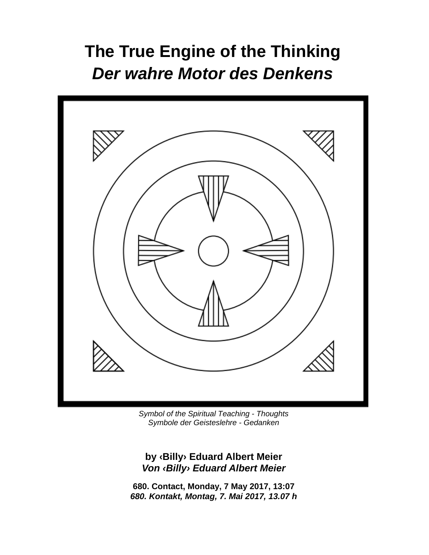# **The True Engine of the Thinking**  *Der wahre Motor des Denkens*



*Symbol of the Spiritual Teaching - Thoughts Symbole der Geisteslehre - Gedanken* 

**by ‹Billy› Eduard Albert Meier**  *Von ‹Billy› Eduard Albert Meier* 

**680. Contact, Monday, 7 May 2017, 13:07**  *680. Kontakt, Montag, 7. Mai 2017, 13.07 h*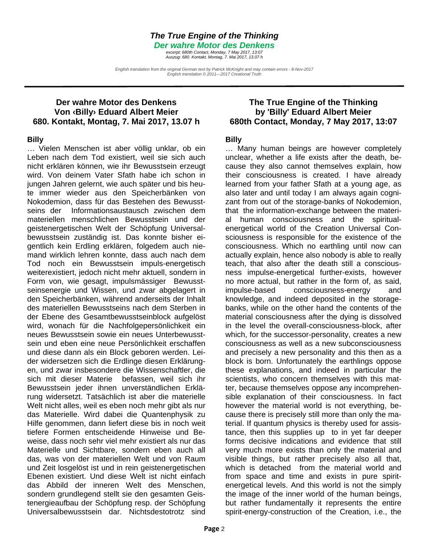#### *The True Engine of the Thinking*

*Der wahre Motor des Denkens* 

*excerpt: 680th Contact, Monday, 7 May 2017, 13:07 Auszug: 680. Kontakt, Montag, 7. Mai 2017, 13.07 h* 

*English translation from the original German text by Patrick McKnight and may contain errors - 8-Nov-2017 English translation © 2011—2017 Creational Truth* 

#### **Der wahre Motor des Denkens Von ‹Billy› Eduard Albert Meier 680. Kontakt, Montag, 7. Mai 2017, 13.07 h**

#### **Billy**

… Vielen Menschen ist aber völlig unklar, ob ein Leben nach dem Tod existiert, weil sie sich auch nicht erklären können, wie ihr Bewusstsein erzeugt wird. Von deinem Vater Sfath habe ich schon in jungen Jahren gelernt, wie auch später und bis heute immer wieder aus den Speicherbänken von Nokodemion, dass für das Bestehen des Bewusstseins der Informationsaustausch zwischen dem materiellen menschlichen Bewusstsein und der geistenergetischen Welt der Schöpfung Universalbewusstsein zuständig ist. Das konnte bisher eigentlich kein Erdling erklären, folgedem auch niemand wirklich lehren konnte, dass auch nach dem Tod noch ein Bewusstsein impuls-energetisch weiterexistiert, jedoch nicht mehr aktuell, sondern in Form von, wie gesagt, impulsmässiger Bewusstseinsenergie und Wissen, und zwar abgelagert in den Speicherbänken, während anderseits der Inhalt des materiellen Bewusstseins nach dem Sterben in der Ebene des Gesamtbewusstseinblock aufgelöst wird, wonach für die Nachfolgepersönlichkeit ein neues Bewusstsein sowie ein neues Unterbewusstsein und eben eine neue Persönlichkeit erschaffen und diese dann als ein Block geboren werden. Leider widersetzen sich die Erdlinge diesen Erklärungen, und zwar insbesondere die Wissenschaftler, die sich mit dieser Materie befassen, weil sich ihr Bewusstsein jeder ihnen unverständlichen Erklärung widersetzt. Tatsächlich ist aber die materielle Welt nicht alles, weil es eben noch mehr gibt als nur das Materielle. Wird dabei die Quantenphysik zu Hilfe genommen, dann liefert diese bis in noch weit tiefere Formen entscheidende Hinweise und Beweise, dass noch sehr viel mehr existiert als nur das Materielle und Sichtbare, sondern eben auch all das, was von der materiellen Welt und von Raum und Zeit losgelöst ist und in rein geistenergetischen Ebenen existiert. Und diese Welt ist nicht einfach das Abbild der inneren Welt des Menschen, sondern grundlegend stellt sie den gesamten Geistenergieaufbau der Schöpfung resp. der Schöpfung Universalbewusstsein dar. Nichtsdestotrotz sind

#### **The True Engine of the Thinking by 'Billy' Eduard Albert Meier 680th Contact, Monday, 7 May 2017, 13:07**

#### **Billy**

… Many human beings are however completely unclear, whether a life exists after the death, because they also cannot themselves explain, how their consciousness is created. I have already learned from your father Sfath at a young age, as also later and until today I am always again cognizant from out of the storage-banks of Nokodemion, that the information-exchange between the material human consciousness and the spiritualenergetical world of the Creation Universal Consciousness is responsible for the existence of the consciousness. Which no earthling until now can actually explain, hence also nobody is able to really teach, that also after the death still a consciousness impulse-energetical further-exists, however no more actual, but rather in the form of, as said, impulse-based consciousness-energy and knowledge, and indeed deposited in the storagebanks, while on the other hand the contents of the material consciousness after the dying is dissolved in the level the overall-consciousness-block, after which, for the successor-personality, creates a new consciousness as well as a new subconsciousness and precisely a new personality and this then as a block is born. Unfortunately the earthlings oppose these explanations, and indeed in particular the scientists, who concern themselves with this matter, because themselves oppose any incomprehensible explanation of their consciousness. In fact however the material world is not everything, because there is precisely still more than only the material. If quantum physics is thereby used for assistance, then this supplies up to in yet far deeper forms decisive indications and evidence that still very much more exists than only the material and visible things, but rather precisely also all that, which is detached from the material world and from space and time and exists in pure spiritenergetical levels. And this world is not the simply the image of the inner world of the human beings, but rather fundamentally it represents the entire spirit-energy-construction of the Creation, i.e., the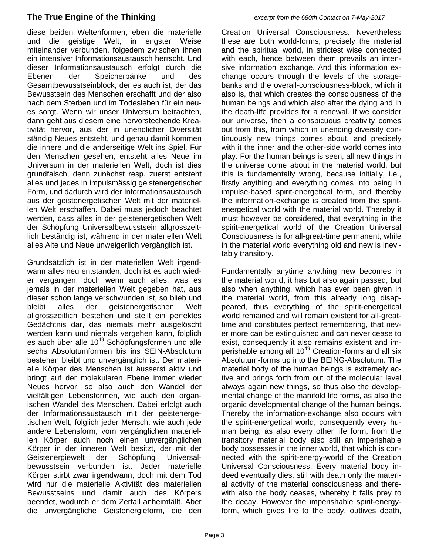diese beiden Weltenformen, eben die materielle und die geistige Welt, in engster Weise miteinander verbunden, folgedem zwischen ihnen ein intensiver Informationsaustausch herrscht. Und dieser Informationsaustausch erfolgt durch die Ebenen der Speicherbänke und des Gesamtbewusstseinblock, der es auch ist, der das Bewusstsein des Menschen erschafft und der also nach dem Sterben und im Todesleben für ein neues sorgt. Wenn wir unser Universum betrachten, dann geht aus diesem eine hervorstechende Kreativität hervor, aus der in unendlicher Diversität ständig Neues entsteht, und genau damit kommen die innere und die anderseitige Welt ins Spiel. Für den Menschen gesehen, entsteht alles Neue im Universum in der materiellen Welt, doch ist dies grundfalsch, denn zunächst resp. zuerst entsteht alles und jedes in impulsmässig geistenergetischer Form, und dadurch wird der Informationsaustausch aus der geistenergetischen Welt mit der materiellen Welt erschaffen. Dabei muss jedoch beachtet werden, dass alles in der geistenergetischen Welt der Schöpfung Universalbewusstsein allgrosszeitlich beständig ist, während in der materiellen Welt alles Alte und Neue unweigerlich vergänglich ist.

Grundsätzlich ist in der materiellen Welt irgendwann alles neu entstanden, doch ist es auch wieder vergangen, doch wenn auch alles, was es jemals in der materiellen Welt gegeben hat, aus dieser schon lange verschwunden ist, so blieb und bleibt alles der geistenergetischen Welt allgrosszeitlich bestehen und stellt ein perfektes Gedächtnis dar, das niemals mehr ausgelöscht werden kann und niemals vergehen kann, folglich es auch über alle 10<sup>49</sup> Schöpfungsformen und alle sechs Absolutumformen bis ins SEIN-Absolutum bestehen bleibt und unvergänglich ist. Der materielle Körper des Menschen ist äusserst aktiv und bringt auf der molekularen Ebene immer wieder Neues hervor, so also auch den Wandel der vielfältigen Lebensformen, wie auch den organischen Wandel des Menschen. Dabei erfolgt auch der Informationsaustausch mit der geistenergetischen Welt, folglich jeder Mensch, wie auch jede andere Lebensform, vom vergänglichen materiellen Körper auch noch einen unvergänglichen Körper in der inneren Welt besitzt, der mit der Geistenergiewelt der Schöpfung Universalbewusstsein verbunden ist. Jeder materielle Körper stirbt zwar irgendwann, doch mit dem Tod wird nur die materielle Aktivität des materiellen Bewusstseins und damit auch des Körpers beendet, wodurch er dem Zerfall anheimfällt. Aber die unvergängliche Geistenergieform, die den Creation Universal Consciousness. Nevertheless these are both world-forms, precisely the material and the spiritual world, in strictest wise connected with each, hence between them prevails an intensive information exchange. And this information exchange occurs through the levels of the storagebanks and the overall-consciousness-block, which it also is, that which creates the consciousness of the human beings and which also after the dying and in the death-life provides for a renewal. If we consider our universe, then a conspicuous creativity comes out from this, from which in unending diversity continuously new things comes about, and precisely with it the inner and the other-side world comes into play. For the human beings is seen, all new things in the universe come about in the material world, but this is fundamentally wrong, because initially, i.e., firstly anything and everything comes into being in impulse-based spirit-energetical form, and thereby the information-exchange is created from the spiritenergetical world with the material world. Thereby it must however be considered, that everything in the spirit-energetical world of the Creation Universal Consciousness is for all-great-time permanent, while in the material world everything old and new is inevitably transitory.

Fundamentally anytime anything new becomes in the material world, it has but also again passed, but also when anything, which has ever been given in the material world, from this already long disappeared, thus everything of the spirit-energetical world remained and will remain existent for all-greattime and constitutes perfect remembering, that never more can be extinguished and can never cease to exist, consequently it also remains existent and imperishable among all  $10^{49}$  Creation-forms and all six Absolutum-forms up into the BEING-Absolutum. The material body of the human beings is extremely active and brings forth from out of the molecular level always again new things, so thus also the developmental change of the manifold life forms, as also the organic developmental change of the human beings. Thereby the information-exchange also occurs with the spirit-energetical world, consequently every human being, as also every other life form, from the transitory material body also still an imperishable body possesses in the inner world, that which is connected with the spirit-energy-world of the Creation Universal Consciousness. Every material body indeed eventually dies, still with death only the material activity of the material consciousness and therewith also the body ceases, whereby it falls prey to the decay. However the imperishable spirit-energyform, which gives life to the body, outlives death,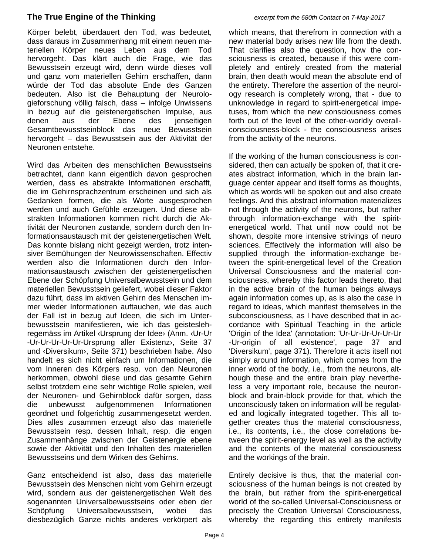Körper belebt, überdauert den Tod, was bedeutet, dass daraus im Zusammenhang mit einem neuen materiellen Körper neues Leben aus dem Tod hervorgeht. Das klärt auch die Frage, wie das Bewusstsein erzeugt wird, denn würde dieses voll und ganz vom materiellen Gehirn erschaffen, dann würde der Tod das absolute Ende des Ganzen bedeuten. Also ist die Behauptung der Neurologieforschung völlig falsch, dass – infolge Unwissens in bezug auf die geistenergetischen Impulse, aus denen aus der Ebene des jenseitigen Gesamtbewusstseinblock das neue Bewusstsein hervorgeht – das Bewusstsein aus der Aktivität der Neuronen entstehe.

Wird das Arbeiten des menschlichen Bewusstseins betrachtet, dann kann eigentlich davon gesprochen werden, dass es abstrakte Informationen erschafft, die im Gehirnsprachzentrum erscheinen und sich als Gedanken formen, die als Worte ausgesprochen werden und auch Gefühle erzeugen. Und diese abstrakten Informationen kommen nicht durch die Aktivität der Neuronen zustande, sondern durch den Informationsaustausch mit der geistenergetischen Welt. Das konnte bislang nicht gezeigt werden, trotz intensiver Bemühungen der Neurowissenschaften. Effectiv werden also die Informationen durch den Informationsaustausch zwischen der geistenergetischen Ebene der Schöpfung Universalbewusstsein und dem materiellen Bewusstsein geliefert, wobei dieser Faktor dazu führt, dass im aktiven Gehirn des Menschen immer wieder Informationen auftauchen, wie das auch der Fall ist in bezug auf Ideen, die sich im Unterbewusstsein manifestieren, wie ich das geisteslehregemäss im Artikel ‹Ursprung der Idee› (Anm. ‹Ur-Ur -Ur-Ur-Ur-Ur-Ur-Ursprung aller Existenz›, Seite 37 und ‹Diversikum›, Seite 371) beschrieben habe. Also handelt es sich nicht einfach um Informationen, die vom Inneren des Körpers resp. von den Neuronen herkommen, obwohl diese und das gesamte Gehirn selbst trotzdem eine sehr wichtige Rolle spielen, weil der Neuronen- und Gehirnblock dafür sorgen, dass die unbewusst aufgenommenen Informationen geordnet und folgerichtig zusammengesetzt werden. Dies alles zusammen erzeugt also das materielle Bewusstsein resp. dessen Inhalt, resp. die engen Zusammenhänge zwischen der Geistenergie ebene sowie der Aktivität und den Inhalten des materiellen Bewusstseins und dem Wirken des Gehirns.

Ganz entscheidend ist also, dass das materielle Bewusstsein des Menschen nicht vom Gehirn erzeugt wird, sondern aus der geistenergetischen Welt des sogenannten Universalbewusstseins oder eben der Schöpfung Universalbewusstsein, wobei das diesbezüglich Ganze nichts anderes verkörpert als

which means, that therefrom in connection with a new material body arises new life from the death. That clarifies also the question, how the consciousness is created, because if this were completely and entirely created from the material brain, then death would mean the absolute end of the entirety. Therefore the assertion of the neurology research is completely wrong, that - due to unknowledge in regard to spirit-energetical impetuses, from which the new consciousness comes forth out of the level of the other-worldly overallconsciousness-block - the consciousness arises from the activity of the neurons.

If the working of the human consciousness is considered, then can actually be spoken of, that it creates abstract information, which in the brain language center appear and itself forms as thoughts, which as words will be spoken out and also create feelings. And this abstract information materializes not through the activity of the neurons, but rather through information-exchange with the spiritenergetical world. That until now could not be shown, despite more intensive strivings of neuro sciences. Effectively the information will also be supplied through the information-exchange between the spirit-energetical level of the Creation Universal Consciousness and the material consciousness, whereby this factor leads thereto, that in the active brain of the human beings always again information comes up, as is also the case in regard to ideas, which manifest themselves in the subconsciousness, as I have described that in accordance with Spiritual Teaching in the article 'Origin of the Idea' (annotation: 'Ur-Ur-Ur-Ur-Ur-Ur -Ur-origin of all existence', page 37 and 'Diversikum', page 371). Therefore it acts itself not simply around information, which comes from the inner world of the body, i.e., from the neurons, although these and the entire brain play nevertheless a very important role, because the neuronblock and brain-block provide for that, which the unconsciously taken on information will be regulated and logically integrated together. This all together creates thus the material consciousness, i.e., its contents, i.e., the close correlations between the spirit-energy level as well as the activity and the contents of the material consciousness and the workings of the brain.

Entirely decisive is thus, that the material consciousness of the human beings is not created by the brain, but rather from the spirit-energetical world of the so-called Universal-Consciousness or precisely the Creation Universal Consciousness, whereby the regarding this entirety manifests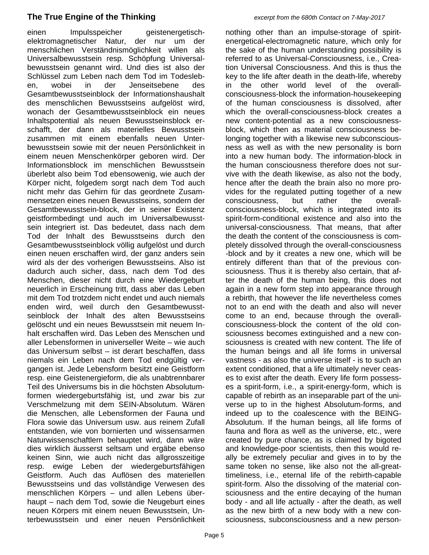einen Impulsspeicher geistenergetischelektromagnetischer Natur, der nur um der menschlichen Verständnismöglichkeit willen als Universalbewusstsein resp. Schöpfung Universalbewusstsein genannt wird. Und dies ist also der Schlüssel zum Leben nach dem Tod im Todesleben, wobei in der Jenseitsebene des Gesamtbewusstseinblock der Informationshaushalt des menschlichen Bewusstseins aufgelöst wird, wonach der Gesamtbewusstseinblock ein neues Inhaltspotential als neuen Bewusstseinsblock erschafft, der dann als materielles Bewusstsein zusammen mit einem ebenfalls neuen Unterbewusstsein sowie mit der neuen Persönlichkeit in einem neuen Menschenkörper geboren wird. Der Informationsblock im menschlichen Bewusstsein überlebt also beim Tod ebensowenig, wie auch der Körper nicht, folgedem sorgt nach dem Tod auch nicht mehr das Gehirn für das geordnete Zusammensetzen eines neuen Bewusstseins, sondern der Gesamtbewusstsein-block, der in seiner Existenz geistformbedingt und auch im Universalbewusstsein integriert ist. Das bedeutet, dass nach dem Tod der Inhalt des Bewusstseins durch den Gesamtbewusstseinblock völlig aufgelöst und durch einen neuen erschaffen wird, der ganz anders sein wird als der des vorherigen Bewusstseins. Also ist dadurch auch sicher, dass, nach dem Tod des Menschen, dieser nicht durch eine Wiedergeburt neuerlich in Erscheinung tritt, dass aber das Leben mit dem Tod trotzdem nicht endet und auch niemals enden wird, weil durch den Gesamtbewusstseinblock der Inhalt des alten Bewusstseins gelöscht und ein neues Bewusstsein mit neuem Inhalt erschaffen wird. Das Leben des Menschen und aller Lebensformen in universeller Weite – wie auch das Universum selbst – ist derart beschaffen, dass niemals ein Leben nach dem Tod endgültig vergangen ist. Jede Lebensform besitzt eine Geistform resp. eine Geistenergieform, die als unabtrennbarer Teil des Universums bis in die höchsten Absolutumformen wiedergeburtsfähig ist, und zwar bis zur Verschmelzung mit dem SEIN-Absolutum. Wären die Menschen, alle Lebensformen der Fauna und Flora sowie das Universum usw. aus reinem Zufall entstanden, wie von bornierten und wissensarmen Naturwissenschaftlern behauptet wird, dann wäre dies wirklich äusserst seltsam und ergäbe ebenso keinen Sinn, wie auch nicht das allgrosszeitige resp. ewige Leben der wiedergeburtsfähigen Geistform. Auch das Auflösen des materiellen Bewusstseins und das vollständige Verwesen des menschlichen Körpers – und allen Lebens überhaupt – nach dem Tod, sowie die Neugeburt eines neuen Körpers mit einem neuen Bewusstsein, Unterbewusstsein und einer neuen Persönlichkeit

nothing other than an impulse-storage of spiritenergetical-electromagnetic nature, which only for the sake of the human understanding possibility is referred to as Universal-Consciousness, i.e., Creation Universal Consciousness. And this is thus the key to the life after death in the death-life, whereby in the other world level of the overallconsciousness-block the information-housekeeping of the human consciousness is dissolved, after which the overall-consciousness-block creates a new content-potential as a new consciousnessblock, which then as material consciousness belonging together with a likewise new subconsciousness as well as with the new personality is born into a new human body. The information-block in the human consciousness therefore does not survive with the death likewise, as also not the body, hence after the death the brain also no more provides for the regulated putting together of a new consciousness, but rather the overallconsciousness-block, which is integrated into its spirit-form-conditional existence and also into the universal-consciousness. That means, that after the death the content of the consciousness is completely dissolved through the overall-consciousness -block and by it creates a new one, which will be entirely different than that of the previous consciousness. Thus it is thereby also certain, that after the death of the human being, this does not again in a new form step into appearance through a rebirth, that however the life nevertheless comes not to an end with the death and also will never come to an end, because through the overallconsciousness-block the content of the old consciousness becomes extinguished and a new consciousness is created with new content. The life of the human beings and all life forms in universal vastness - as also the universe itself - is to such an extent conditioned, that a life ultimately never ceases to exist after the death. Every life form possesses a spirit-form, i.e., a spirit-energy-form, which is capable of rebirth as an inseparable part of the universe up to in the highest Absolutum-forms, and indeed up to the coalescence with the BEING-Absolutum. If the human beings, all life forms of fauna and flora as well as the universe, etc., were created by pure chance, as is claimed by bigoted and knowledge-poor scientists, then this would really be extremely peculiar and gives in to by the same token no sense, like also not the all-greattimeliness, i.e., eternal life of the rebirth-capable spirit-form. Also the dissolving of the material consciousness and the entire decaying of the human body - and all life actually - after the death, as well as the new birth of a new body with a new consciousness, subconsciousness and a new person-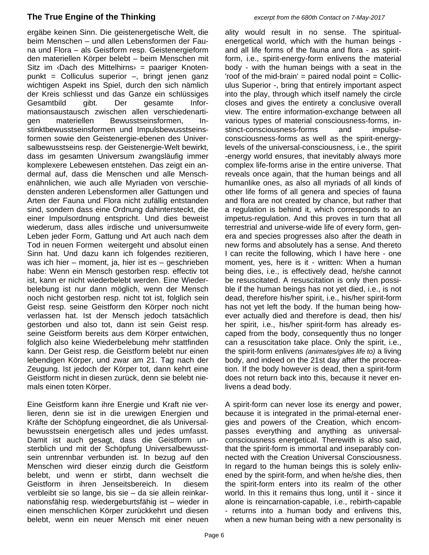ergäbe keinen Sinn. Die geistenergetische Welt, die beim Menschen – und allen Lebensformen der Fauna und Flora – als Geistform resp. Geistenergieform den materiellen Körper belebt – beim Menschen mit Sitz im  $\Phi$  Dach des Mittelhirns = paariger Knotenpunkt = Colliculus superior –, bringt jenen ganz wichtigen Aspekt ins Spiel, durch den sich nämlich der Kreis schliesst und das Ganze ein schlüssiges Gesamtbild gibt. Der gesamte Informationsaustausch zwischen allen verschiedenartigen materiellen Bewusstseinsformen, Instinktbewusstseinsformen und Impulsbewusstseinsformen sowie den Geistenergie-ebenen des Universalbewusstseins resp. der Geistenergie-Welt bewirkt, dass im gesamten Universum zwangsläufig immer komplexere Lebewesen entstehen. Das zeigt ein andermal auf, dass die Menschen und alle Menschenähnlichen, wie auch alle Myriaden von verschiedensten anderen Lebensformen aller Gattungen und Arten der Fauna und Flora nicht zufällig entstanden sind, sondern dass eine Ordnung dahintersteckt, die einer Impulsordnung entspricht. Und dies beweist wiederum, dass alles irdische und universumweite Leben jeder Form, Gattung und Art auch nach dem Tod in neuen Formen weitergeht und absolut einen Sinn hat. Und dazu kann ich folgendes rezitieren, was ich hier – moment, ja, hier ist es – geschrieben habe: Wenn ein Mensch gestorben resp. effectiv tot ist, kann er nicht wiederbelebt werden. Eine Wiederbelebung ist nur dann möglich, wenn der Mensch noch nicht gestorben resp. nicht tot ist, folglich sein Geist resp. seine Geistform den Körper noch nicht verlassen hat. Ist der Mensch jedoch tatsächlich gestorben und also tot, dann ist sein Geist resp. seine Geistform bereits aus dem Körper entwichen, folglich also keine Wiederbelebung mehr stattfinden kann. Der Geist resp. die Geistform belebt nur einen lebendigen Körper, und zwar am 21. Tag nach der Zeugung. Ist jedoch der Körper tot, dann kehrt eine Geistform nicht in diesen zurück, denn sie belebt niemals einen toten Körper.

Eine Geistform kann ihre Energie und Kraft nie verlieren, denn sie ist in die urewigen Energien und Kräfte der Schöpfung eingeordnet, die als Universalbewusstsein energetisch alles und jedes umfasst. Damit ist auch gesagt, dass die Geistform unsterblich und mit der Schöpfung Universalbewusstsein untrennbar verbunden ist. In bezug auf den Menschen wird dieser einzig durch die Geistform belebt, und wenn er stirbt, dann wechselt die Geistform in ihren Jenseitsbereich. In diesem verbleibt sie so lange, bis sie – da sie allein reinkarnationsfähig resp. wiedergeburtsfähig ist – wieder in einen menschlichen Körper zurückkehrt und diesen belebt, wenn ein neuer Mensch mit einer neuen

ality would result in no sense. The spiritualenergetical world, which with the human beings and all life forms of the fauna and flora - as spiritform, i.e., spirit-energy-form enlivens the material body - with the human beings with a seat in the 'roof of the mid-brain'  $=$  paired nodal point  $=$  Colliculus Superior -, bring that entirely important aspect into the play, through which itself namely the circle closes and gives the entirety a conclusive overall view. The entire information-exchange between all various types of material consciousness-forms, instinct-consciousness-forms and impulseconsciousness-forms as well as the spirit-energylevels of the universal-consciousness, i.e., the spirit -energy world ensures, that inevitably always more complex life-forms arise in the entire universe. That reveals once again, that the human beings and all humanlike ones, as also all myriads of all kinds of other life forms of all genera and species of fauna and flora are not created by chance, but rather that a regulation is behind it, which corresponds to an impetus-regulation. And this proves in turn that all terrestrial and universe-wide life of every form, genera and species progresses also after the death in new forms and absolutely has a sense. And thereto I can recite the following, which I have here - one moment, yes, here is it - written: When a human being dies, i.e., is effectively dead, he/she cannot be resuscitated. A resuscitation is only then possible if the human beings has not yet died, i.e., is not dead, therefore his/her spirit, i.e., his/her spirit-form has not yet left the body. If the human being however actually died and therefore is dead, then his/ her spirit, i.e., his/her spirit-form has already escaped from the body, consequently thus no longer can a resuscitation take place. Only the spirit, i.e., the spirit-form enlivens *(animates/gives life to)* a living body, and indeed on the 21st day after the procreation. If the body however is dead, then a spirit-form does not return back into this, because it never enlivens a dead body.

A spirit-form can never lose its energy and power, because it is integrated in the primal-eternal energies and powers of the Creation, which encompasses everything and anything as universalconsciousness energetical. Therewith is also said, that the spirit-form is immortal and inseparably connected with the Creation Universal Consciousness. In regard to the human beings this is solely enlivened by the spirit-form, and when he/she dies, then the spirit-form enters into its realm of the other world. In this it remains thus long, until it - since it alone is reincarnation-capable, i.e., rebirth-capable - returns into a human body and enlivens this, when a new human being with a new personality is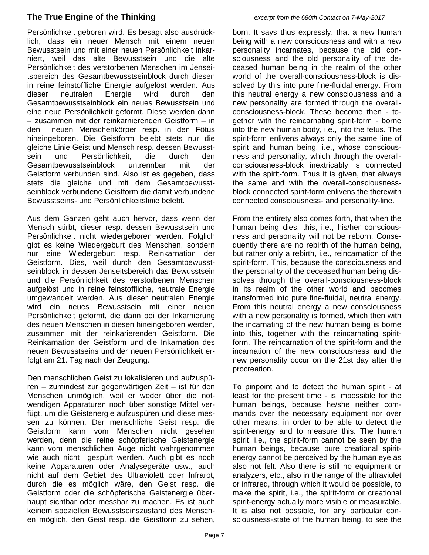Persönlichkeit geboren wird. Es besagt also ausdrücklich, dass ein neuer Mensch mit einem neuen Bewusstsein und mit einer neuen Persönlichkeit inkarniert, weil das alte Bewusstsein und die alte Persönlichkeit des verstorbenen Menschen im Jenseitsbereich des Gesamtbewusstseinblock durch diesen in reine feinstoffliche Energie aufgelöst werden. Aus dieser neutralen Energie wird durch den Gesamtbewusstseinblock ein neues Bewusstsein und eine neue Persönlichkeit geformt. Diese werden dann – zusammen mit der reinkarnierenden Geistform – in den neuen Menschenkörper resp. in den Fötus hineingeboren. Die Geistform belebt stets nur die gleiche Linie Geist und Mensch resp. dessen Bewusstsein und Persönlichkeit, die durch den Gesamtbewusstseinblock untrennbar mit der Geistform verbunden sind. Also ist es gegeben, dass stets die gleiche und mit dem Gesamtbewusstseinblock verbundene Geistform die damit verbundene Bewusstseins- und Persönlichkeitslinie belebt.

Aus dem Ganzen geht auch hervor, dass wenn der Mensch stirbt, dieser resp. dessen Bewusstsein und Persönlichkeit nicht wiedergeboren werden. Folglich gibt es keine Wiedergeburt des Menschen, sondern nur eine Wiedergeburt resp. Reinkarnation der Geistform. Dies, weil durch den Gesamtbewusstseinblock in dessen Jenseitsbereich das Bewusstsein und die Persönlichkeit des verstorbenen Menschen aufgelöst und in reine feinstoffliche, neutrale Energie umgewandelt werden. Aus dieser neutralen Energie wird ein neues Bewusstsein mit einer neuen Persönlichkeit geformt, die dann bei der Inkarnierung des neuen Menschen in diesen hineingeboren werden, zusammen mit der reinkarierenden Geistform. Die Reinkarnation der Geistform und die Inkarnation des neuen Bewusstseins und der neuen Persönlichkeit erfolgt am 21. Tag nach der Zeugung.

Den menschlichen Geist zu lokalisieren und aufzuspüren – zumindest zur gegenwärtigen Zeit – ist für den Menschen unmöglich, weil er weder über die notwendigen Apparaturen noch über sonstige Mittel verfügt, um die Geistenergie aufzuspüren und diese messen zu können. Der menschliche Geist resp. die Geistform kann vom Menschen nicht gesehen werden, denn die reine schöpferische Geistenergie kann vom menschlichen Auge nicht wahrgenommen wie auch nicht gespürt werden. Auch gibt es noch keine Apparaturen oder Analysegeräte usw., auch nicht auf dem Gebiet des Ultraviolett oder Infrarot, durch die es möglich wäre, den Geist resp. die Geistform oder die schöpferische Geistenergie überhaupt sichtbar oder messbar zu machen. Es ist auch keinem speziellen Bewusstseinszustand des Menschen möglich, den Geist resp. die Geistform zu sehen,

born. It says thus expressly, that a new human being with a new consciousness and with a new personality incarnates, because the old consciousness and the old personality of the deceased human being in the realm of the other world of the overall-consciousness-block is dissolved by this into pure fine-fluidal energy. From this neutral energy a new consciousness and a new personality are formed through the overallconsciousness-block. These become then - together with the reincarnating spirit-form - borne into the new human body, i.e., into the fetus. The spirit-form enlivens always only the same line of spirit and human being, i.e., whose consciousness and personality, which through the overallconsciousness-block inextricably is connected with the spirit-form. Thus it is given, that always the same and with the overall-consciousnessblock connected spirit-form enlivens the therewith connected consciousness- and personality-line.

From the entirety also comes forth, that when the human being dies, this, i.e., his/her consciousness and personality will not be reborn. Consequently there are no rebirth of the human being, but rather only a rebirth, i.e., reincarnation of the spirit-form. This, because the consciousness and the personality of the deceased human being dissolves through the overall-consciousness-block in its realm of the other world and becomes transformed into pure fine-fluidal, neutral energy. From this neutral energy a new consciousness with a new personality is formed, which then with the incarnating of the new human being is borne into this, together with the reincarnating spiritform. The reincarnation of the spirit-form and the incarnation of the new consciousness and the new personality occur on the 21st day after the procreation.

To pinpoint and to detect the human spirit - at least for the present time - is impossible for the human beings, because he/she neither commands over the necessary equipment nor over other means, in order to be able to detect the spirit-energy and to measure this. The human spirit, i.e., the spirit-form cannot be seen by the human beings, because pure creational spiritenergy cannot be perceived by the human eye as also not felt. Also there is still no equipment or analyzers, etc., also in the range of the ultraviolet or infrared, through which it would be possible, to make the spirit, i.e., the spirit-form or creational spirit-energy actually more visible or measurable. It is also not possible, for any particular consciousness-state of the human being, to see the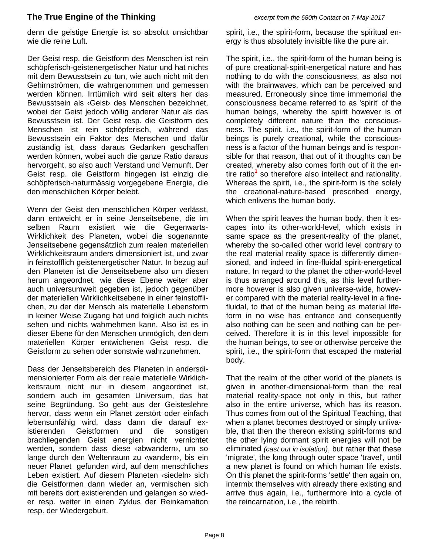denn die geistige Energie ist so absolut unsichtbar wie die reine Luft.

Der Geist resp. die Geistform des Menschen ist rein schöpferisch-geistenergetischer Natur und hat nichts mit dem Bewusstsein zu tun, wie auch nicht mit den Gehirnströmen, die wahrgenommen und gemessen werden können. Irrtümlich wird seit alters her das Bewusstsein als ‹Geist› des Menschen bezeichnet, wobei der Geist jedoch völlig anderer Natur als das Bewusstsein ist. Der Geist resp. die Geistform des Menschen ist rein schöpferisch, während das Bewusstsein ein Faktor des Menschen und dafür zuständig ist, dass daraus Gedanken geschaffen werden können, wobei auch die ganze Ratio daraus hervorgeht, so also auch Verstand und Vernunft. Der Geist resp. die Geistform hingegen ist einzig die schöpferisch-naturmässig vorgegebene Energie, die den menschlichen Körper belebt.

Wenn der Geist den menschlichen Körper verlässt, dann entweicht er in seine Jenseitsebene, die im selben Raum existiert wie die Gegenwarts-Wirklichkeit des Planeten, wobei die sogenannte Jenseitsebene gegensätzlich zum realen materiellen Wirklichkeitsraum anders dimensioniert ist, und zwar in feinstofflich geistenergetischer Natur. In bezug auf den Planeten ist die Jenseitsebene also um diesen herum angeordnet, wie diese Ebene weiter aber auch universumweit gegeben ist, jedoch gegenüber der materiellen Wirklichkeitsebene in einer feinstofflichen, zu der der Mensch als materielle Lebensform in keiner Weise Zugang hat und folglich auch nichts sehen und nichts wahrnehmen kann. Also ist es in dieser Ebene für den Menschen unmöglich, den dem materiellen Körper entwichenen Geist resp. die Geistform zu sehen oder sonstwie wahrzunehmen.

Dass der Jenseitsbereich des Planeten in andersdimensionierter Form als der reale materielle Wirklichkeitsraum nicht nur in diesem angeordnet ist, sondern auch im gesamten Universum, das hat seine Begründung. So geht aus der Geisteslehre hervor, dass wenn ein Planet zerstört oder einfach lebensunfähig wird, dass dann die darauf existierenden Geistformen und die sonstigen brachliegenden Geist energien nicht vernichtet werden, sondern dass diese ‹abwandern›, um so lange durch den Weltenraum zu ‹wandern›, bis ein neuer Planet gefunden wird, auf dem menschliches Leben existiert. Auf diesem Planeten ‹siedeln› sich die Geistformen dann wieder an, vermischen sich mit bereits dort existierenden und gelangen so wieder resp. weiter in einen Zyklus der Reinkarnation resp. der Wiedergeburt.

spirit, i.e., the spirit-form, because the spiritual energy is thus absolutely invisible like the pure air.

The spirit, i.e., the spirit-form of the human being is of pure creational-spirit-energetical nature and has nothing to do with the consciousness, as also not with the brainwaves, which can be perceived and measured. Erroneously since time immemorial the consciousness became referred to as 'spirit' of the human beings, whereby the spirit however is of completely different nature than the consciousness. The spirit, i.e., the spirit-form of the human beings is purely creational, while the consciousness is a factor of the human beings and is responsible for that reason, that out of it thoughts can be created, whereby also comes forth out of it the entire ratio<sup>1</sup> so therefore also intellect and rationality. Whereas the spirit, i.e., the spirit-form is the solely the creational-nature-based prescribed energy, which enlivens the human body.

When the spirit leaves the human body, then it escapes into its other-world-level, which exists in same space as the present-reality of the planet, whereby the so-called other world level contrary to the real material reality space is differently dimensioned, and indeed in fine-fluidal spirit-energetical nature. In regard to the planet the other-world-level is thus arranged around this, as this level furthermore however is also given universe-wide, however compared with the material reality-level in a finefluidal, to that of the human being as material lifeform in no wise has entrance and consequently also nothing can be seen and nothing can be perceived. Therefore it is in this level impossible for the human beings, to see or otherwise perceive the spirit, i.e., the spirit-form that escaped the material body.

That the realm of the other world of the planets is given in another-dimensional-form than the real material reality-space not only in this, but rather also in the entire universe, which has its reason. Thus comes from out of the Spiritual Teaching, that when a planet becomes destroyed or simply unlivable, that then the thereon existing spirit-forms and the other lying dormant spirit energies will not be eliminated *(cast out in isolation)*, but rather that these 'migrate', the long through outer space 'travel', until a new planet is found on which human life exists. On this planet the spirit-forms 'settle' then again on, intermix themselves with already there existing and arrive thus again, i.e., furthermore into a cycle of the reincarnation, i.e., the rebirth.